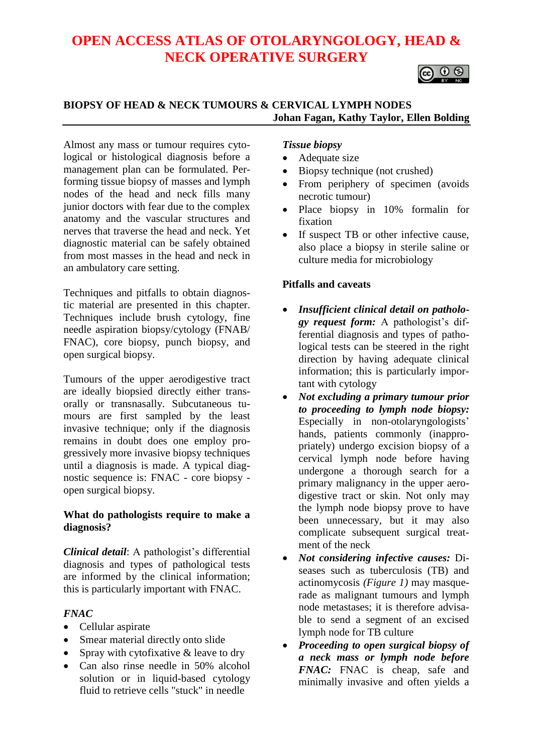# **OPEN ACCESS ATLAS OF OTOLARYNGOLOGY, HEAD & NECK OPERATIVE SURGERY**



## **BIOPSY OF HEAD & NECK TUMOURS & CERVICAL LYMPH NODES Johan Fagan, Kathy Taylor, Ellen Bolding**

Almost any mass or tumour requires cytological or histological diagnosis before a management plan can be formulated. Performing tissue biopsy of masses and lymph nodes of the head and neck fills many junior doctors with fear due to the complex anatomy and the vascular structures and nerves that traverse the head and neck. Yet diagnostic material can be safely obtained from most masses in the head and neck in an ambulatory care setting.

Techniques and pitfalls to obtain diagnostic material are presented in this chapter. Techniques include brush cytology, fine needle aspiration biopsy/cytology (FNAB/ FNAC), core biopsy, punch biopsy, and open surgical biopsy.

Tumours of the upper aerodigestive tract are ideally biopsied directly either transorally or transnasally. Subcutaneous tumours are first sampled by the least invasive technique; only if the diagnosis remains in doubt does one employ progressively more invasive biopsy techniques until a diagnosis is made. A typical diagnostic sequence is: FNAC - core biopsy open surgical biopsy.

#### **What do pathologists require to make a diagnosis?**

*Clinical detail*: A pathologist's differential diagnosis and types of pathological tests are informed by the clinical information; this is particularly important with FNAC.

## *FNAC*

- Cellular aspirate
- Smear material directly onto slide
- Spray with cytofixative & leave to dry
- Can also rinse needle in 50% alcohol solution or in liquid-based cytology fluid to retrieve cells "stuck" in needle

### *Tissue biopsy*

- Adequate size
- Biopsy technique (not crushed)
- From periphery of specimen (avoids) necrotic tumour)
- Place biopsy in 10% formalin for fixation
- If suspect TB or other infective cause, also place a biopsy in sterile saline or culture media for microbiology

## **Pitfalls and caveats**

- *Insufficient clinical detail on pathology request form:* A pathologist's differential diagnosis and types of pathological tests can be steered in the right direction by having adequate clinical information; this is particularly important with cytology
- *Not excluding a primary tumour prior to proceeding to lymph node biopsy:* Especially in non-otolaryngologists' hands, patients commonly (inappropriately) undergo excision biopsy of a cervical lymph node before having undergone a thorough search for a primary malignancy in the upper aerodigestive tract or skin. Not only may the lymph node biopsy prove to have been unnecessary, but it may also complicate subsequent surgical treatment of the neck
- *Not considering infective causes:* Diseases such as tuberculosis (TB) and actinomycosis *(Figure 1)* may masquerade as malignant tumours and lymph node metastases; it is therefore advisable to send a segment of an excised lymph node for TB culture
- *Proceeding to open surgical biopsy of a neck mass or lymph node before FNAC:* FNAC is cheap, safe and minimally invasive and often yields a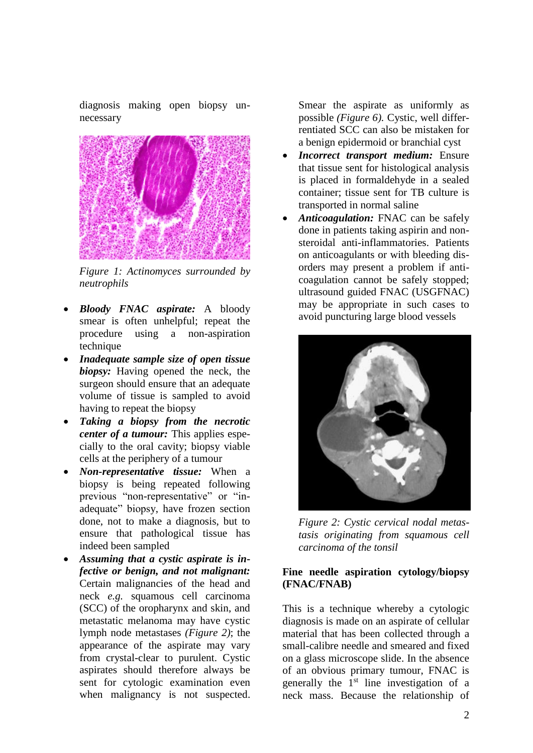diagnosis making open biopsy unnecessary



*Figure 1: Actinomyces surrounded by neutrophils*

- *Bloody FNAC aspirate:* A bloody smear is often unhelpful; repeat the procedure using a non-aspiration technique
- *Inadequate sample size of open tissue biopsy:* Having opened the neck, the surgeon should ensure that an adequate volume of tissue is sampled to avoid having to repeat the biopsy
- *Taking a biopsy from the necrotic center of a tumour:* This applies especially to the oral cavity; biopsy viable cells at the periphery of a tumour
- *Non-representative tissue:* When a biopsy is being repeated following previous "non-representative" or "inadequate" biopsy, have frozen section done, not to make a diagnosis, but to ensure that pathological tissue has indeed been sampled
- *Assuming that a cystic aspirate is infective or benign, and not malignant:*  Certain malignancies of the head and neck *e.g.* squamous cell carcinoma (SCC) of the oropharynx and skin, and metastatic melanoma may have cystic lymph node metastases *(Figure 2)*; the appearance of the aspirate may vary from crystal-clear to purulent. Cystic aspirates should therefore always be sent for cytologic examination even when malignancy is not suspected.

Smear the aspirate as uniformly as possible *(Figure 6).* Cystic, well differrentiated SCC can also be mistaken for a benign epidermoid or branchial cyst

- *Incorrect transport medium:* Ensure that tissue sent for histological analysis is placed in formaldehyde in a sealed container; tissue sent for TB culture is transported in normal saline
- *Anticoagulation:* FNAC can be safely done in patients taking aspirin and nonsteroidal anti-inflammatories. Patients on anticoagulants or with bleeding disorders may present a problem if anticoagulation cannot be safely stopped; ultrasound guided FNAC (USGFNAC) may be appropriate in such cases to avoid puncturing large blood vessels



*Figure 2: Cystic cervical nodal metastasis originating from squamous cell carcinoma of the tonsil*

#### **Fine needle aspiration cytology/biopsy (FNAC/FNAB)**

This is a technique whereby a cytologic diagnosis is made on an aspirate of cellular material that has been collected through a small-calibre needle and smeared and fixed on a glass microscope slide. In the absence of an obvious primary tumour, FNAC is generally the 1<sup>st</sup> line investigation of a neck mass. Because the relationship of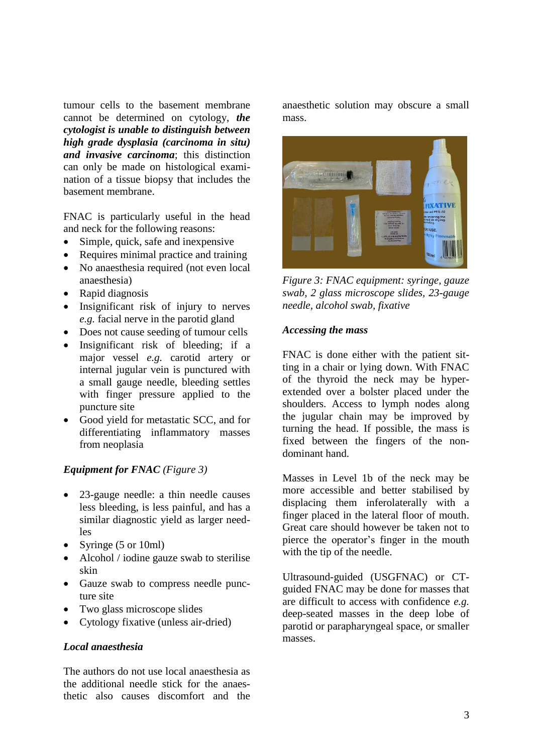tumour cells to the basement membrane cannot be determined on cytology, *the cytologist is unable to distinguish between high grade dysplasia (carcinoma in situ) and invasive carcinoma*; this distinction can only be made on histological examination of a tissue biopsy that includes the basement membrane.

FNAC is particularly useful in the head and neck for the following reasons:

- Simple, quick, safe and inexpensive
- Requires minimal practice and training
- No anaesthesia required (not even local anaesthesia)
- Rapid diagnosis
- Insignificant risk of injury to nerves *e.g.* facial nerve in the parotid gland
- Does not cause seeding of tumour cells
- Insignificant risk of bleeding; if a major vessel *e.g.* carotid artery or internal jugular vein is punctured with a small gauge needle, bleeding settles with finger pressure applied to the puncture site
- Good yield for metastatic SCC, and for differentiating inflammatory masses from neoplasia

#### *Equipment for FNAC (Figure 3)*

- 23-gauge needle: a thin needle causes less bleeding, is less painful, and has a similar diagnostic yield as larger needles
- Syringe (5 or 10ml)
- Alcohol / iodine gauze swab to sterilise skin
- Gauze swab to compress needle puncture site
- Two glass microscope slides
- Cytology fixative (unless air-dried)

#### *Local anaesthesia*

The authors do not use local anaesthesia as the additional needle stick for the anaesthetic also causes discomfort and the anaesthetic solution may obscure a small mass.



*Figure 3: FNAC equipment: syringe, gauze swab, 2 glass microscope slides, 23-gauge needle, alcohol swab, fixative*

#### *Accessing the mass*

FNAC is done either with the patient sitting in a chair or lying down. With FNAC of the thyroid the neck may be hyperextended over a bolster placed under the shoulders. Access to lymph nodes along the jugular chain may be improved by turning the head. If possible, the mass is fixed between the fingers of the nondominant hand.

Masses in Level 1b of the neck may be more accessible and better stabilised by displacing them inferolaterally with a finger placed in the lateral floor of mouth. Great care should however be taken not to pierce the operator's finger in the mouth with the tip of the needle.

Ultrasound-guided (USGFNAC) or CTguided FNAC may be done for masses that are difficult to access with confidence *e.g.* deep-seated masses in the deep lobe of parotid or parapharyngeal space, or smaller masses.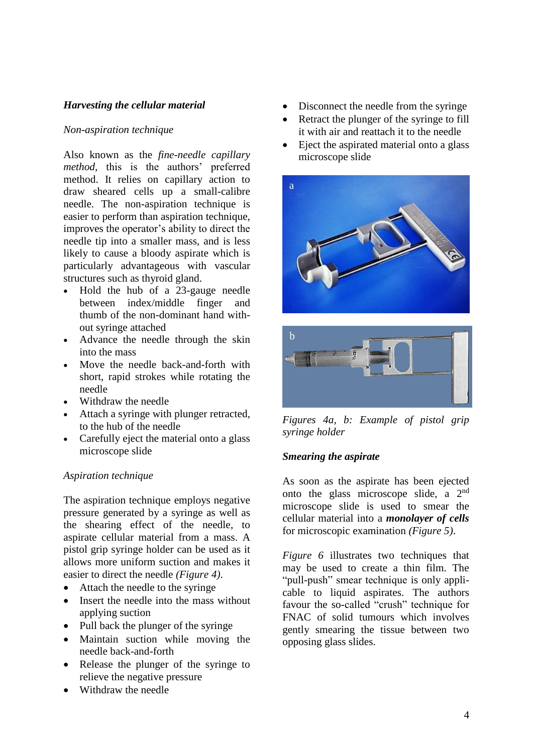## *Harvesting the cellular material*

#### *Non-aspiration technique*

Also known as the *fine-needle capillary method*, this is the authors' preferred method. It relies on capillary action to draw sheared cells up a small-calibre needle. The non-aspiration technique is easier to perform than aspiration technique, improves the operator's ability to direct the needle tip into a smaller mass, and is less likely to cause a bloody aspirate which is particularly advantageous with vascular structures such as thyroid gland.

- Hold the hub of a 23-gauge needle between index/middle finger and thumb of the non-dominant hand without syringe attached
- Advance the needle through the skin into the mass
- Move the needle back-and-forth with short, rapid strokes while rotating the needle
- Withdraw the needle
- Attach a syringe with plunger retracted, to the hub of the needle
- Carefully eject the material onto a glass microscope slide

#### *Aspiration technique*

The aspiration technique employs negative pressure generated by a syringe as well as the shearing effect of the needle, to aspirate cellular material from a mass. A pistol grip syringe holder can be used as it allows more uniform suction and makes it easier to direct the needle *(Figure 4)*.

- Attach the needle to the syringe
- Insert the needle into the mass without applying suction
- Pull back the plunger of the syringe
- Maintain suction while moving the needle back-and-forth
- Release the plunger of the syringe to relieve the negative pressure
- Withdraw the needle
- Disconnect the needle from the syringe
- Retract the plunger of the syringe to fill it with air and reattach it to the needle
- Eject the aspirated material onto a glass microscope slide





*Figures 4a, b: Example of pistol grip syringe holder*

#### *Smearing the aspirate*

As soon as the aspirate has been ejected onto the glass microscope slide, a 2nd microscope slide is used to smear the cellular material into a *monolayer of cells* for microscopic examination *(Figure 5)*.

*Figure 6* illustrates two techniques that may be used to create a thin film. The "pull-push" smear technique is only applicable to liquid aspirates. The authors favour the so-called "crush" technique for FNAC of solid tumours which involves gently smearing the tissue between two opposing glass slides.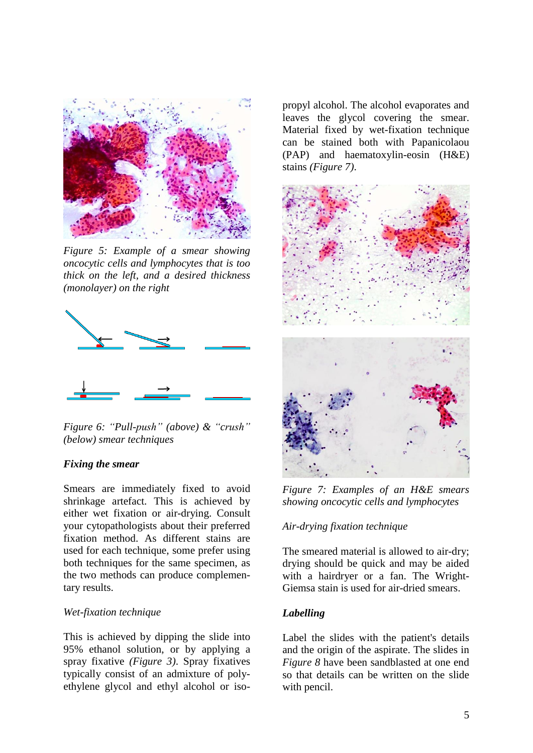

*Figure 5: Example of a smear showing oncocytic cells and lymphocytes that is too thick on the left, and a desired thickness (monolayer) on the right*



*Figure 6: "Pull-push" (above) & "crush" (below) smear techniques*

#### *Fixing the smear*

Smears are immediately fixed to avoid shrinkage artefact. This is achieved by either wet fixation or air-drying. Consult your cytopathologists about their preferred fixation method. As different stains are used for each technique, some prefer using both techniques for the same specimen, as the two methods can produce complementary results.

#### *Wet-fixation technique*

This is achieved by dipping the slide into 95% ethanol solution, or by applying a spray fixative *(Figure 3)*. Spray fixatives typically consist of an admixture of polyethylene glycol and ethyl alcohol or isopropyl alcohol. The alcohol evaporates and leaves the glycol covering the smear. Material fixed by wet-fixation technique can be stained both with Papanicolaou (PAP) and haematoxylin-eosin (H&E) stains *(Figure 7)*.



*Figure 7: Examples of an H&E smears showing oncocytic cells and lymphocytes* 

#### *Air-drying fixation technique*

The smeared material is allowed to air-dry; drying should be quick and may be aided with a hairdryer or a fan. The Wright-Giemsa stain is used for air-dried smears.

#### *Labelling*

Label the slides with the patient's details and the origin of the aspirate. The slides in *Figure 8* have been sandblasted at one end so that details can be written on the slide with pencil.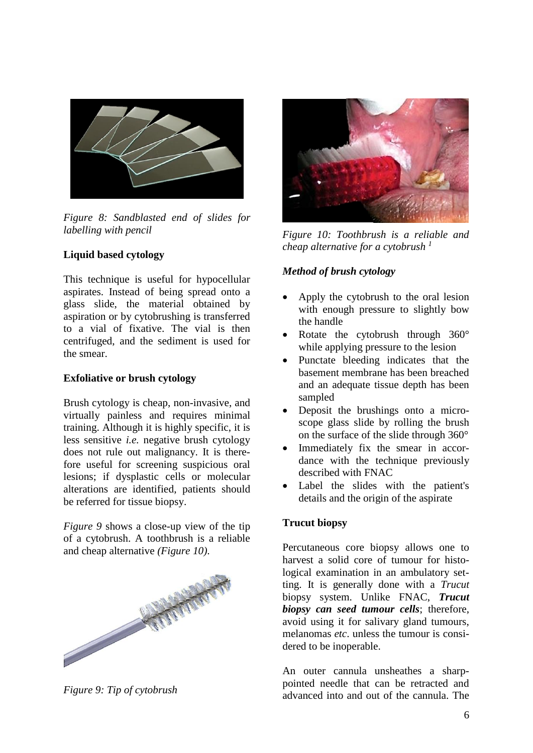

*Figure 8: Sandblasted end of slides for labelling with pencil*

## **Liquid based cytology**

This technique is useful for hypocellular aspirates. Instead of being spread onto a glass slide, the material obtained by aspiration or by cytobrushing is transferred to a vial of fixative. The vial is then centrifuged, and the sediment is used for the smear.

### **Exfoliative or brush cytology**

Brush cytology is cheap, non-invasive, and virtually painless and requires minimal training. Although it is highly specific, it is less sensitive *i.e.* negative brush cytology does not rule out malignancy. It is therefore useful for screening suspicious oral lesions; if dysplastic cells or molecular alterations are identified, patients should be referred for tissue biopsy.

*Figure 9* shows a close-up view of the tip of a cytobrush. A toothbrush is a reliable and cheap alternative *(Figure 10)*.



*Figure 9: Tip of cytobrush*



*Figure 10: Toothbrush is a reliable and cheap alternative for a cytobrush <sup>1</sup>*

## *Method of brush cytology*

- Apply the cytobrush to the oral lesion with enough pressure to slightly bow the handle
- Rotate the cytobrush through 360° while applying pressure to the lesion
- Punctate bleeding indicates that the basement membrane has been breached and an adequate tissue depth has been sampled
- Deposit the brushings onto a microscope glass slide by rolling the brush on the surface of the slide through 360°
- Immediately fix the smear in accordance with the technique previously described with FNAC
- Label the slides with the patient's details and the origin of the aspirate

## **Trucut biopsy**

Percutaneous core biopsy allows one to harvest a solid core of tumour for histological examination in an ambulatory setting. It is generally done with a *Trucut*  biopsy system. Unlike FNAC, *Trucut biopsy can seed tumour cells*; therefore, avoid using it for salivary gland tumours, melanomas *etc*. unless the tumour is considered to be inoperable.

An outer cannula unsheathes a sharppointed needle that can be retracted and advanced into and out of the cannula. The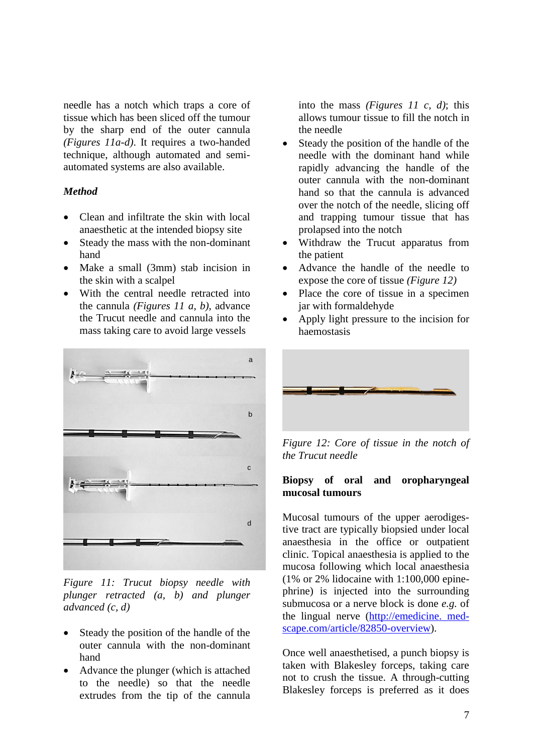needle has a notch which traps a core of tissue which has been sliced off the tumour by the sharp end of the outer cannula *(Figures 11a-d)*. It requires a two-handed technique, although automated and semiautomated systems are also available.

#### *Method*

- Clean and infiltrate the skin with local anaesthetic at the intended biopsy site
- Steady the mass with the non-dominant hand
- Make a small (3mm) stab incision in the skin with a scalpel
- With the central needle retracted into the cannula *(Figures 11 a, b)*, advance the Trucut needle and cannula into the mass taking care to avoid large vessels



*Figure 11: Trucut biopsy needle with plunger retracted (a, b) and plunger advanced (c, d)*

- Steady the position of the handle of the outer cannula with the non-dominant hand
- Advance the plunger (which is attached to the needle) so that the needle extrudes from the tip of the cannula

into the mass *(Figures 11 c, d)*; this allows tumour tissue to fill the notch in the needle

- Steady the position of the handle of the needle with the dominant hand while rapidly advancing the handle of the outer cannula with the non-dominant hand so that the cannula is advanced over the notch of the needle, slicing off and trapping tumour tissue that has prolapsed into the notch
- Withdraw the Trucut apparatus from the patient
- Advance the handle of the needle to expose the core of tissue *(Figure 12)*
- Place the core of tissue in a specimen jar with formaldehyde
- Apply light pressure to the incision for haemostasis



*Figure 12: Core of tissue in the notch of the Trucut needle*

#### **Biopsy of oral and oropharyngeal mucosal tumours**

Mucosal tumours of the upper aerodigestive tract are typically biopsied under local anaesthesia in the office or outpatient clinic. Topical anaesthesia is applied to the mucosa following which local anaesthesia (1% or 2% lidocaine with 1:100,000 epinephrine) is injected into the surrounding submucosa or a nerve block is done *e.g.* of the lingual nerve (http://emedicine. medscape.com/article/82850-overview).

Once well anaesthetised, a punch biopsy is taken with Blakesley forceps, taking care not to crush the tissue. A through-cutting Blakesley forceps is preferred as it does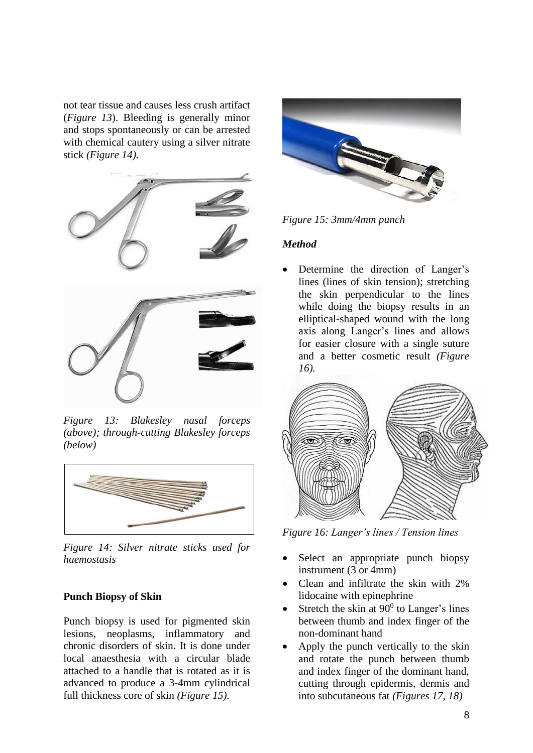not tear tissue and causes less crush artifact (*Figure 13*). Bleeding is generally minor and stops spontaneously or can be arrested with chemical cautery using a silver nitrate stick *(Figure 14).*



*Figure 13: Blakesley nasal forceps (above); through-cutting Blakesley forceps (below)*



*Figure 14: Silver nitrate sticks used for haemostasis*

## **Punch Biopsy of Skin**

Punch biopsy is used for pigmented skin lesions, neoplasms, inflammatory and chronic disorders of skin. It is done under local anaesthesia with a circular blade attached to a handle that is rotated as it is advanced to produce a 3-4mm cylindrical full thickness core of skin *(Figure 15).*



*Figure 15: 3mm/4mm punch*

#### *Method*

Determine the direction of Langer's lines (lines of skin tension); stretching the skin perpendicular to the lines while doing the biopsy results in an elliptical-shaped wound with the long axis along Langer's lines and allows for easier closure with a single suture and a better cosmetic result *(Figure 16).*



*Figure 16: Langer's lines / Tension lines*

- Select an appropriate punch biopsy instrument (3 or 4mm)
- Clean and infiltrate the skin with 2% lidocaine with epinephrine
- Stretch the skin at  $90^0$  to Langer's lines between thumb and index finger of the non-dominant hand
- Apply the punch vertically to the skin and rotate the punch between thumb and index finger of the dominant hand, cutting through epidermis, dermis and into subcutaneous fat *(Figures 17, 18)*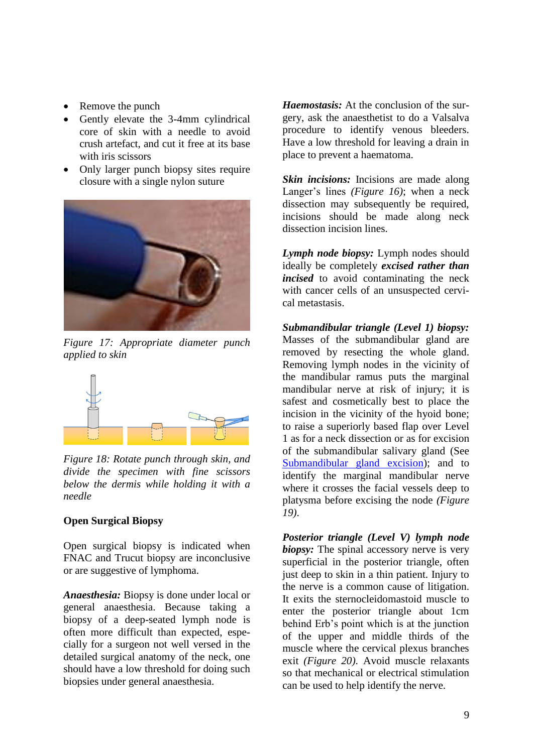- Remove the punch
- Gently elevate the 3-4mm cylindrical core of skin with a needle to avoid crush artefact, and cut it free at its base with iris scissors
- Only larger punch biopsy sites require closure with a single nylon suture



*Figure 17: Appropriate diameter punch applied to skin*



*Figure 18: Rotate punch through skin, and divide the specimen with fine scissors below the dermis while holding it with a needle*

## **Open Surgical Biopsy**

Open surgical biopsy is indicated when FNAC and Trucut biopsy are inconclusive or are suggestive of lymphoma.

*Anaesthesia:* Biopsy is done under local or general anaesthesia. Because taking a biopsy of a deep-seated lymph node is often more difficult than expected, especially for a surgeon not well versed in the detailed surgical anatomy of the neck, one should have a low threshold for doing such biopsies under general anaesthesia.

*Haemostasis:* At the conclusion of the surgery, ask the anaesthetist to do a Valsalva procedure to identify venous bleeders. Have a low threshold for leaving a drain in place to prevent a haematoma.

*Skin incisions:* Incisions are made along Langer's lines *(Figure 16)*; when a neck dissection may subsequently be required, incisions should be made along neck dissection incision lines.

*Lymph node biopsy:* Lymph nodes should ideally be completely *excised rather than incised* to avoid contaminating the neck with cancer cells of an unsuspected cervical metastasis.

*Submandibular triangle (Level 1) biopsy:*  Masses of the submandibular gland are removed by resecting the whole gland. Removing lymph nodes in the vicinity of the mandibular ramus puts the marginal mandibular nerve at risk of injury; it is safest and cosmetically best to place the incision in the vicinity of the hyoid bone; to raise a superiorly based flap over Level 1 as for a neck dissection or as for excision of the submandibular salivary gland (See [Submandibular](https://vula.uct.ac.za/access/content/group/ba5fb1bd-be95-48e5-81be-586fbaeba29d/Submandibular%20gland%20excision.pdf) gland excision); and to identify the marginal mandibular nerve where it crosses the facial vessels deep to platysma before excising the node *(Figure 19)*.

*Posterior triangle (Level V) lymph node biopsy:* The spinal accessory nerve is very superficial in the posterior triangle, often just deep to skin in a thin patient. Injury to the nerve is a common cause of litigation. It exits the sternocleidomastoid muscle to enter the posterior triangle about 1cm behind Erb's point which is at the junction of the upper and middle thirds of the muscle where the cervical plexus branches exit *(Figure 20)*. Avoid muscle relaxants so that mechanical or electrical stimulation can be used to help identify the nerve.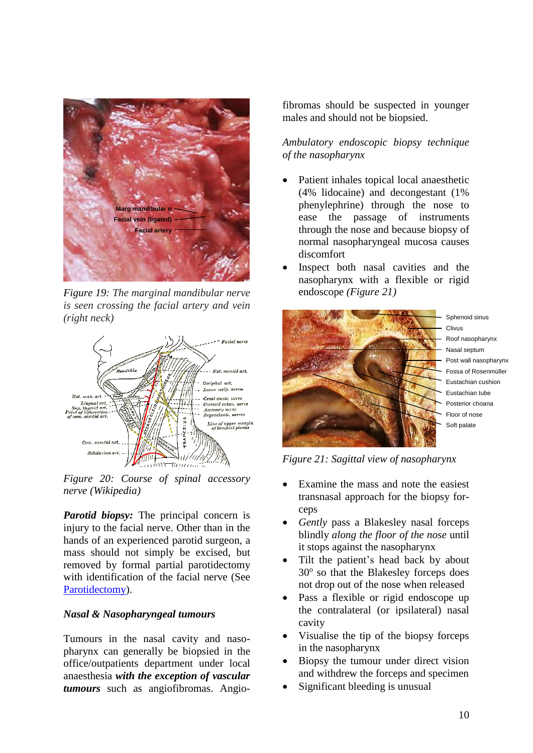

*Figure 19: The marginal mandibular nerve is seen crossing the facial artery and vein (right neck)*



*Figure 20: Course of spinal accessory nerve (Wikipedia)*

*Parotid biopsy:* The principal concern is injury to the facial nerve. Other than in the hands of an experienced parotid surgeon, a mass should not simply be excised, but removed by formal partial parotidectomy with identification of the facial nerve (See [Parotidectomy\)](https://vula.uct.ac.za/access/content/group/ba5fb1bd-be95-48e5-81be-586fbaeba29d/Parotidectomy-1.pdf).

#### *Nasal & Nasopharyngeal tumours*

Tumours in the nasal cavity and nasopharynx can generally be biopsied in the office/outpatients department under local anaesthesia *with the exception of vascular tumours* such as angiofibromas. Angiofibromas should be suspected in younger males and should not be biopsied.

*Ambulatory endoscopic biopsy technique of the nasopharynx*

- Patient inhales topical local anaesthetic (4% lidocaine) and decongestant (1% phenylephrine) through the nose to ease the passage of instruments through the nose and because biopsy of normal nasopharyngeal mucosa causes discomfort
- Inspect both nasal cavities and the nasopharynx with a flexible or rigid endoscope *(Figure 21)*



Sphenoid sinus Clivus Roof nasopharynx Nasal septum Post wall nasopharynx Fossa of Rosenmüller Eustachian cushion Eustachian tube Posterior choana Floor of nose Soft palate

*Figure 21: Sagittal view of nasopharynx* 

- Examine the mass and note the easiest transnasal approach for the biopsy forceps
- *Gently* pass a Blakesley nasal forceps blindly *along the floor of the nose* until it stops against the nasopharynx
- Tilt the patient's head back by about 30° so that the Blakesley forceps does not drop out of the nose when released
- Pass a flexible or rigid endoscope up the contralateral (or ipsilateral) nasal cavity
- Visualise the tip of the biopsy forceps in the nasopharynx
- Biopsy the tumour under direct vision and withdrew the forceps and specimen
- Significant bleeding is unusual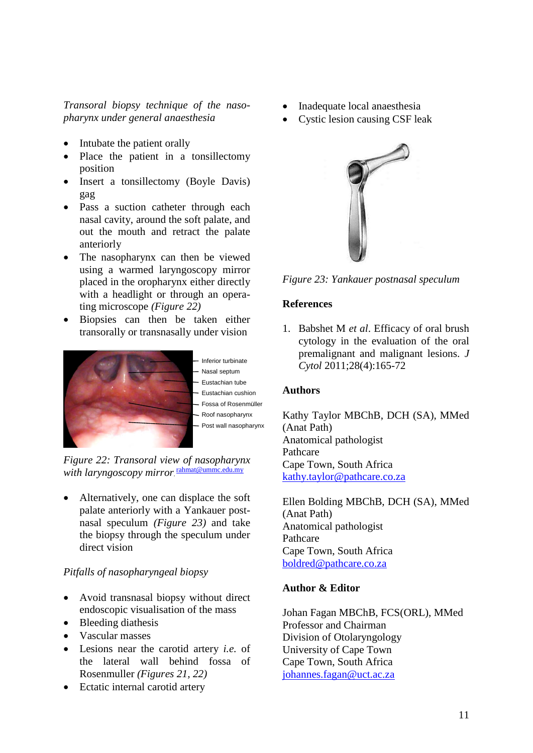*Transoral biopsy technique of the nasopharynx under general anaesthesia*

- Intubate the patient orally
- Place the patient in a tonsillectomy position
- Insert a tonsillectomy (Boyle Davis) gag
- Pass a suction catheter through each nasal cavity, around the soft palate, and out the mouth and retract the palate anteriorly
- The nasopharynx can then be viewed using a warmed laryngoscopy mirror placed in the oropharynx either directly with a headlight or through an operating microscope *(Figure 22)*
- Biopsies can then be taken either transorally or transnasally under vision



Inferior turbinate Nasal septum Eustachian tube Eustachian cushion Fossa of Rosenmüller - Roof nasopharynx Post wall nasopharynx

*Figure 22: Transoral view of nasopharynx with laryngoscopy mirror*, [rahmat@ummc.edu.my](mailto:rahmat@ummc.edu.my)

• Alternatively, one can displace the soft palate anteriorly with a Yankauer postnasal speculum *(Figure 23)* and take the biopsy through the speculum under direct vision

## *Pitfalls of nasopharyngeal biopsy*

- Avoid transnasal biopsy without direct endoscopic visualisation of the mass
- Bleeding diathesis
- Vascular masses
- Lesions near the carotid artery *i.e.* of the lateral wall behind fossa of Rosenmuller *(Figures 21, 22)*
- Ectatic internal carotid artery
- Inadequate local anaesthesia
- Cystic lesion causing CSF leak



*Figure 23: Yankauer postnasal speculum*

#### **References**

1. Babshet M *et al*. Efficacy of oral brush cytology in the evaluation of the oral premalignant and malignant lesions. *J Cytol* 2011;28(4):165-72

## **Authors**

Kathy Taylor MBChB, DCH (SA), MMed (Anat Path) Anatomical pathologist Pathcare Cape Town, South Africa [kathy.taylor@pathcare.co.za](mailto:kathy.taylor@pathcare.co.za)

Ellen Bolding MBChB, DCH (SA), MMed (Anat Path) Anatomical pathologist Pathcare Cape Town, South Africa [boldred@pathcare.co.za](mailto:boldred@pathcare.co.za)

## **Author & Editor**

Johan Fagan MBChB, FCS(ORL), MMed Professor and Chairman Division of Otolaryngology University of Cape Town Cape Town, South Africa [johannes.fagan@uct.ac.za](mailto:johannes.fagan@uct.ac.za)